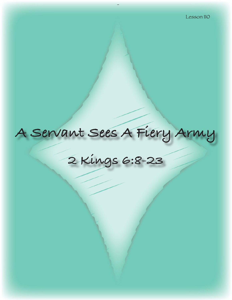# **A Servant Sees A Fiery Army**

**2 Kings 6:8-23**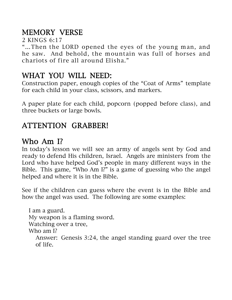# MEMORY VERSE

2 KINGS 6:17

"…Then the LORD opened the eyes of the young man, and he saw. And behold, the mountain was full of horses and chariots of fire all around Elisha."

## WHAT YOU WILL NEED:

Construction paper, enough copies of the "Coat of Arms" template for each child in your class, scissors, and markers.

A paper plate for each child, popcorn (popped before class), and three buckets or large bowls.

# ATTENTION GRABBER!

### Who Am I?

In today's lesson we will see an army of angels sent by God and ready to defend His children, Israel. Angels are ministers from the Lord who have helped God's people in many different ways in the Bible. This game, "Who Am I?" is a game of guessing who the angel helped and where it is in the Bible.

See if the children can guess where the event is in the Bible and how the angel was used. The following are some examples:

I am a guard. My weapon is a flaming sword. Watching over a tree, Who am I? Answer: Genesis 3:24, the angel standing guard over the tree of life.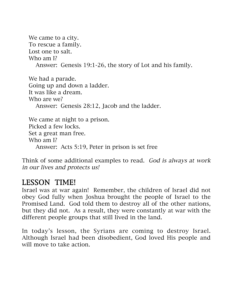We came to a city. To rescue a family. Lost one to salt. Who am I? Answer: Genesis 19:1-26, the story of Lot and his family.

We had a parade. Going up and down a ladder. It was like a dream. Who are we? Answer: Genesis 28:12, Jacob and the ladder.

We came at night to a prison. Picked a few locks. Set a great man free. Who am I? Answer: Acts 5:19, Peter in prison is set free

Think of some additional examples to read. God is always at work in our lives and protects us!

## LESSON TIME!

Israel was at war again! Remember, the children of Israel did not obey God fully when Joshua brought the people of Israel to the Promised Land. God told them to destroy all of the other nations, but they did not. As a result, they were constantly at war with the different people groups that still lived in the land.

In today's lesson, the Syrians are coming to destroy Israel. Although Israel had been disobedient, God loved His people and will move to take action.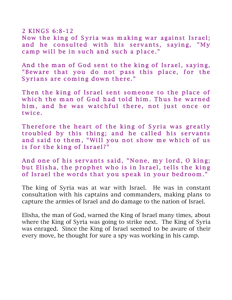$2$  KINGS 6:8-12 Now the king of Syria was making war against Israel; and he consulted with his servants, saying, "My camp will be in such and such a place."

And the man of God sent to the king of Israel, saying, "Beware that you do not pass this place, for the Syrians are coming down there."

Then the king of Israel sent someone to the place of which the man of God had told him. Thus he warned him, and he was watchful there, not just once or twice.

Therefore the heart of the king of Syria was greatly troubled by this thing; and he called his servants and said to them, "Will you not show me which of us is for the king of Israel?"

And one of his servants said, "None, my lord, O king; but Elisha, the prophet who is in Israel, tells the king of Israel the words that you speak in your bedroom."

The king of Syria was at war with Israel. He was in constant consultation with his captains and commanders, making plans to capture the armies of Israel and do damage to the nation of Israel.

Elisha, the man of God, warned the King of Israel many times, about where the King of Syria was going to strike next. The King of Syria was enraged. Since the King of Israel seemed to be aware of their every move, he thought for sure a spy was working in his camp.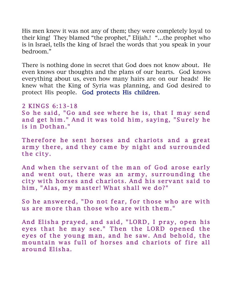His men knew it was not any of them; they were completely loyal to their king! They blamed "the prophet," Elijah.! "…the prophet who is in Israel, tells the king of Israel the words that you speak in your bedroom."

There is nothing done in secret that God does not know about. He even knows our thoughts and the plans of our hearts. God knows everything about us, even how many hairs are on our heads! He knew what the King of Syria was planning, and God desired to protect His people. God protects His children.

### 2 KINGS 6:13-18

So he said, "Go and see where he is, that I may send and get him." And it was told him, saying, "Surely he is in Dothan."

Therefore he sent horses and chariots and a great army there, and they came by night and surrounded the city.

And when the servant of the man of God arose early and went out, there was an army, surrounding the city with horses and chariots. And his servant said to him, "Alas, my master! What shall we do?"

So he answered, "Do not fear, for those who are with us are more than those who are with them."

And Elisha prayed, and said, "LORD, I pray, open his eyes that he may see." Then the LORD opened the eyes of the young man, and he saw. And behold, the mountain was full of horses and chariots of fire all around Elisha.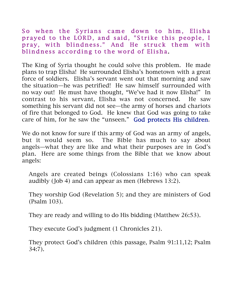So when the Syrians came down to him, Elisha prayed to the LORD, and said, "Strike this people, I pray, with blindness." And He struck them with blindness according to the word of Elisha.

The King of Syria thought he could solve this problem. He made plans to trap Elisha! He surrounded Elisha's hometown with a great force of soldiers. Elisha's servant went out that morning and saw the situation—he was petrified! He saw himself surrounded with no way out! He must have thought, "We've had it now Elisha!" In contrast to his servant, Elisha was not concerned. He saw something his servant did not see—the army of horses and chariots of fire that belonged to God. He knew that God was going to take care of him, for he saw the "unseen." God protects His children.

We do not know for sure if this army of God was an army of angels, but it would seem so. The Bible has much to say about angels—what they are like and what their purposes are in God's plan. Here are some things from the Bible that we know about angels:

Angels are created beings (Colossians 1:16) who can speak audibly (Job 4) and can appear as men (Hebrews 13:2).

They worship God (Revelation 5); and they are ministers of God (Psalm 103).

They are ready and willing to do His bidding (Matthew 26:53).

They execute God's judgment (1 Chronicles 21).

They protect God's children (this passage, Psalm 91:11,12; Psalm 34:7).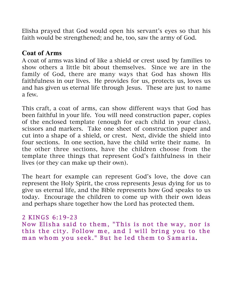Elisha prayed that God would open his servant's eyes so that his faith would be strengthened; and he, too, saw the army of God.

### Coat of Arms

A coat of arms was kind of like a shield or crest used by families to show others a little bit about themselves. Since we are in the family of God, there are many ways that God has shown His faithfulness in our lives. He provides for us, protects us, loves us and has given us eternal life through Jesus. These are just to name a few.

This craft, a coat of arms, can show different ways that God has been faithful in your life. You will need construction paper, copies of the enclosed template (enough for each child in your class), scissors and markers. Take one sheet of construction paper and cut into a shape of a shield, or crest. Next, divide the shield into four sections. In one section, have the child write their name. In the other three sections, have the children choose from the template three things that represent God's faithfulness in their lives (or they can make up their own).

The heart for example can represent God's love, the dove can represent the Holy Spirit, the cross represents Jesus dying for us to give us eternal life, and the Bible represents how God speaks to us today. Encourage the children to come up with their own ideas and perhaps share together how the Lord has protected them.

### 2 KINGS 6:19-23

Now Elisha said to them, "This is not the way, nor is this the city. Follow me, and I will bring you to the m an whom you seek." But he led them to Samaria.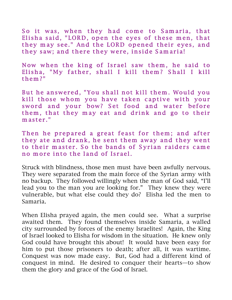So it was, when they had come to Samaria, that Elisha said, "LORD, open the eyes of these men, that they may see." And the LORD opened their eyes, and they saw; and there they were, inside Samaria!

Now when the king of Israel saw them, he said to Elisha, "My father, shall I kill them? Shall I kill them ?"

But he answered, "You shall not kill them. Would you kill those whom you have taken captive with your sword and your bow? Set food and water before them, that they may eat and drink and go to their  $m$  as ter."

Then he prepared a great feast for them; and after they ate and drank, he sent them away and they went to their master. So the bands of Syrian raiders came no more into the land of Israel.

Struck with blindness, those men must have been awfully nervous. They were separated from the main force of the Syrian army with no backup. They followed willingly when the man of God said, "I'll lead you to the man you are looking for." They knew they were vulnerable, but what else could they do? Elisha led the men to Samaria.

When Elisha prayed again, the men could see. What a surprise awaited them. They found themselves inside Samaria, a walled city surrounded by forces of the enemy Israelites! Again, the King of Israel looked to Elisha for wisdom in the situation. He knew only God could have brought this about! It would have been easy for him to put those prisoners to death; after all, it was wartime. Conquest was now made easy. But, God had a different kind of conquest in mind. He desired to conquer their hearts—to show them the glory and grace of the God of Israel.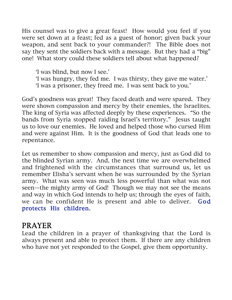His counsel was to give a great feast! How would you feel if you were set down at a feast; fed as a guest of honor; given back your weapon, and sent back to your commander?! The Bible does not say they sent the soldiers back with a message. But they had a "big" one! What story could these soldiers tell about what happened?

- 'I was blind, but now I see.'
- 'I was hungry, they fed me. I was thirsty, they gave me water.'
- 'I was a prisoner, they freed me. I was sent back to you.'

God's goodness was great! They faced death and were spared. They were shown compassion and mercy by their enemies, the Israelites. The king of Syria was affected deeply by these experiences. "So the bands from Syria stopped raiding Israel's territory." Jesus taught us to love our enemies. He loved and helped those who cursed Him and were against Him. It is the goodness of God that leads one to repentance.

Let us remember to show compassion and mercy, just as God did to the blinded Syrian army. And, the next time we are overwhelmed and frightened with the circumstances that surround us, let us remember Elisha's servant when he was surrounded by the Syrian army. What was seen was much less powerful than what was not seen—the mighty army of God! Though we may not see the means and way in which God intends to help us; through the eyes of faith, we can be confident He is present and able to deliver. God protects His children.

### PRAYER

Lead the children in a prayer of thanksgiving that the Lord is always present and able to protect them. If there are any children who have not yet responded to the Gospel, give them opportunity.